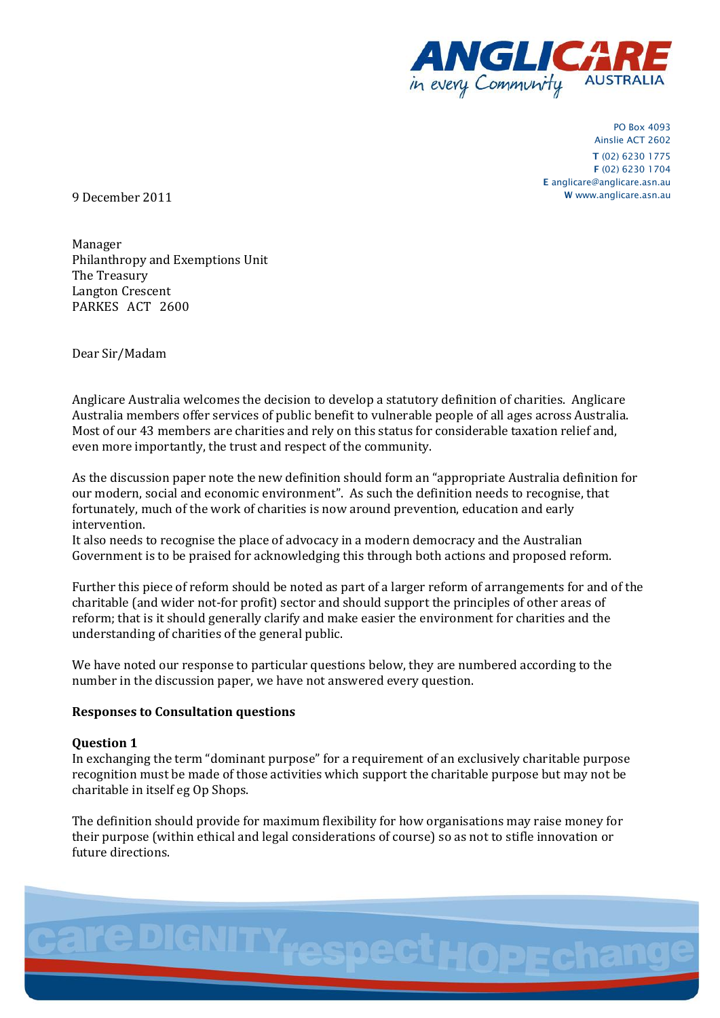

PO Box 4093 Ainslie ACT 2602 **T** (02) 6230 1775 **F** (02) 6230 1704 **E** anglicare@anglicare.asn.au 9 December 2011 **<sup>W</sup>** www.anglicare.asn.au

Manager Philanthropy and Exemptions Unit The Treasury Langton Crescent PARKES ACT 2600

Dear Sir/Madam

Anglicare Australia welcomes the decision to develop a statutory definition of charities. Anglicare Australia members offer services of public benefit to vulnerable people of all ages across Australia. Most of our 43 members are charities and rely on this status for considerable taxation relief and, even more importantly, the trust and respect of the community.

As the discussion paper note the new definition should form an "appropriate Australia definition for our modern, social and economic environment". As such the definition needs to recognise, that fortunately, much of the work of charities is now around prevention, education and early intervention.

It also needs to recognise the place of advocacy in a modern democracy and the Australian Government is to be praised for acknowledging this through both actions and proposed reform.

Further this piece of reform should be noted as part of a larger reform of arrangements for and of the charitable (and wider not-for profit) sector and should support the principles of other areas of reform; that is it should generally clarify and make easier the environment for charities and the understanding of charities of the general public.

We have noted our response to particular questions below, they are numbered according to the number in the discussion paper, we have not answered every question.

# **Responses to Consultation questions**

# **Question 1**

In exchanging the term "dominant purpose" for a requirement of an exclusively charitable purpose recognition must be made of those activities which support the charitable purpose but may not be charitable in itself eg Op Shops.

The definition should provide for maximum flexibility for how organisations may raise money for their purpose (within ethical and legal considerations of course) so as not to stifle innovation or future directions.

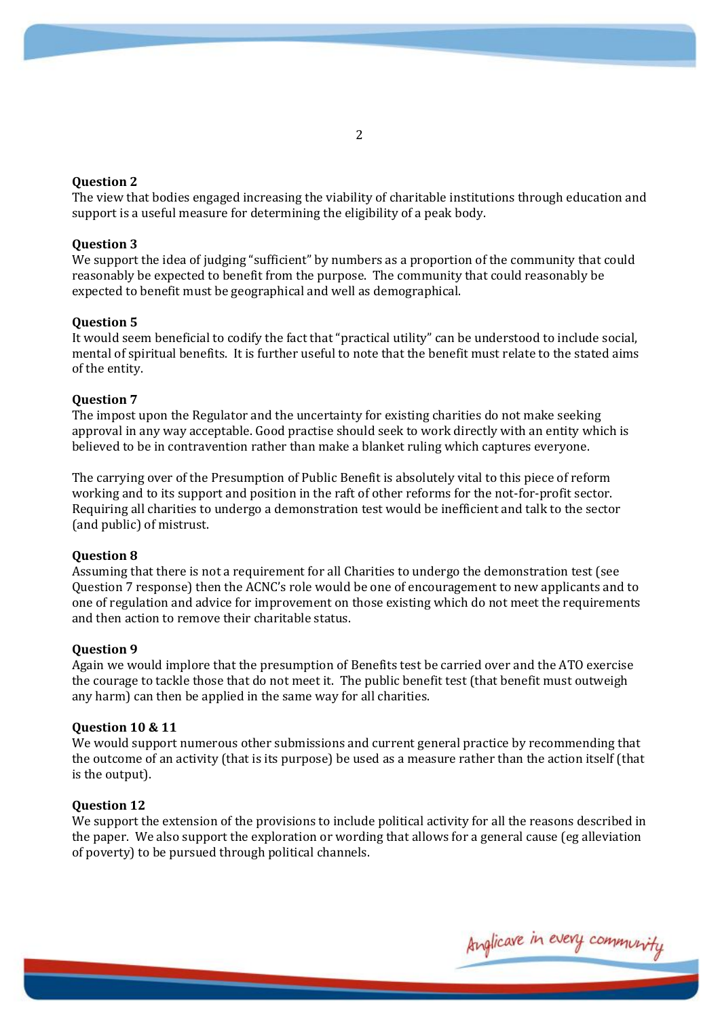# **Question 2**

The view that bodies engaged increasing the viability of charitable institutions through education and support is a useful measure for determining the eligibility of a peak body.

## **Question 3**

We support the idea of judging "sufficient" by numbers as a proportion of the community that could reasonably be expected to benefit from the purpose. The community that could reasonably be expected to benefit must be geographical and well as demographical.

## **Question 5**

It would seem beneficial to codify the fact that "practical utility" can be understood to include social, mental of spiritual benefits. It is further useful to note that the benefit must relate to the stated aims of the entity.

## **Question 7**

The impost upon the Regulator and the uncertainty for existing charities do not make seeking approval in any way acceptable. Good practise should seek to work directly with an entity which is believed to be in contravention rather than make a blanket ruling which captures everyone.

The carrying over of the Presumption of Public Benefit is absolutely vital to this piece of reform working and to its support and position in the raft of other reforms for the not-for-profit sector. Requiring all charities to undergo a demonstration test would be inefficient and talk to the sector (and public) of mistrust.

#### **Question 8**

Assuming that there is not a requirement for all Charities to undergo the demonstration test (see Question 7 response) then the ACNC's role would be one of encouragement to new applicants and to one of regulation and advice for improvement on those existing which do not meet the requirements and then action to remove their charitable status.

#### **Question 9**

Again we would implore that the presumption of Benefits test be carried over and the ATO exercise the courage to tackle those that do not meet it. The public benefit test (that benefit must outweigh any harm) can then be applied in the same way for all charities.

## **Question 10 & 11**

We would support numerous other submissions and current general practice by recommending that the outcome of an activity (that is its purpose) be used as a measure rather than the action itself (that is the output).

#### **Question 12**

We support the extension of the provisions to include political activity for all the reasons described in the paper. We also support the exploration or wording that allows for a general cause (eg alleviation of poverty) to be pursued through political channels.

Anglicave in every communi